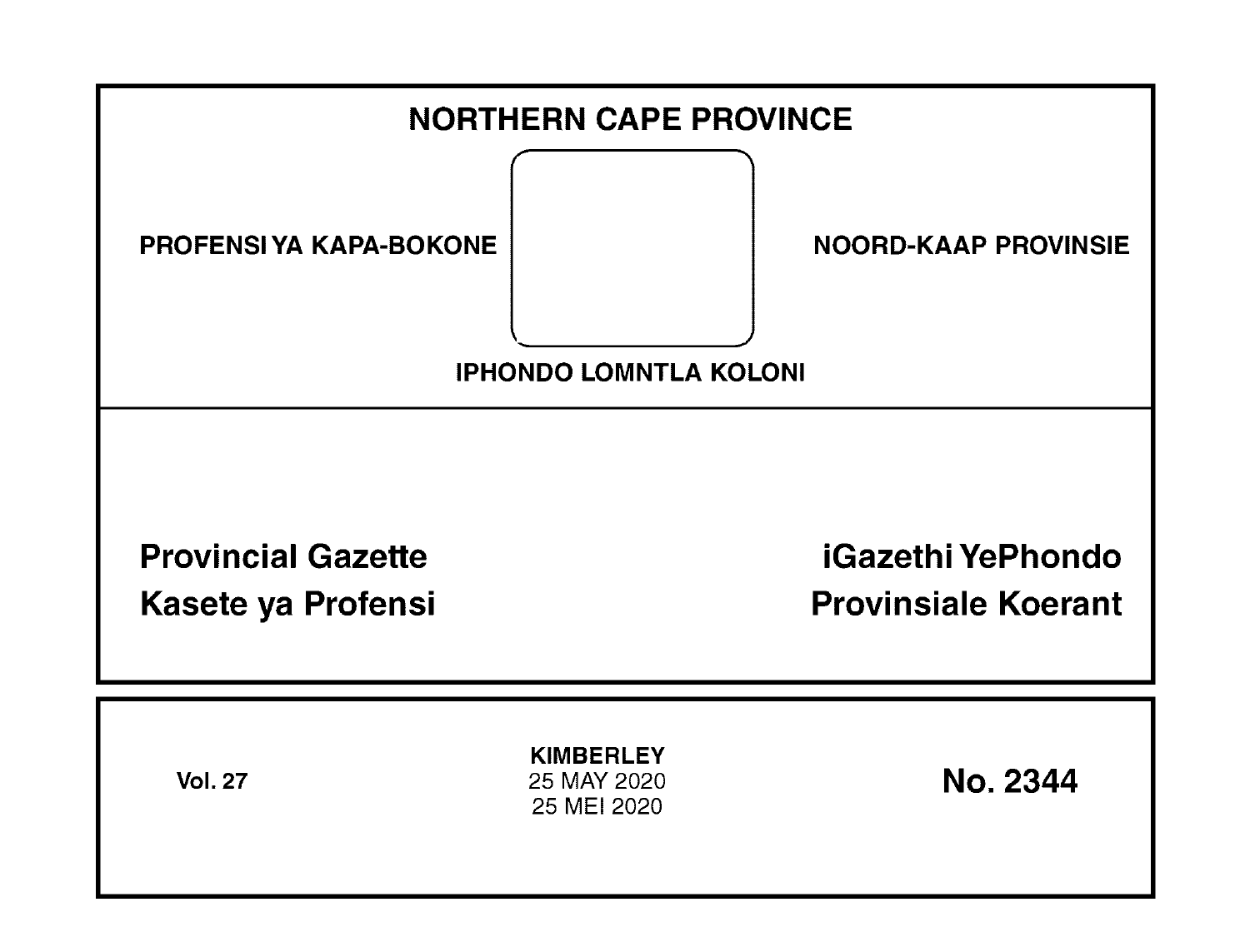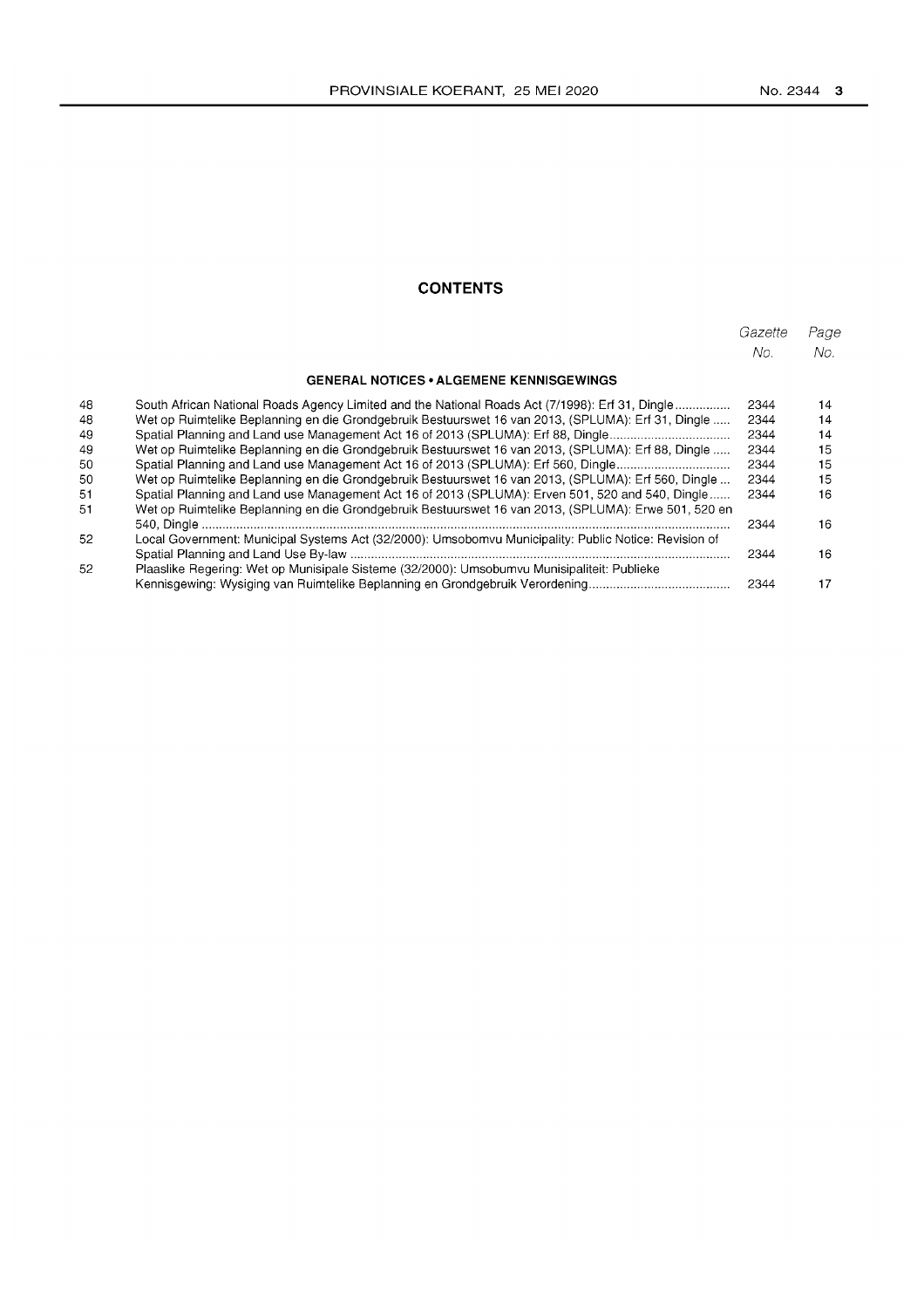# **CONTENTS**

|    |                                                                                                       | Gazette<br>No. | Page<br>No. |
|----|-------------------------------------------------------------------------------------------------------|----------------|-------------|
|    |                                                                                                       |                |             |
|    | <b>GENERAL NOTICES • ALGEMENE KENNISGEWINGS</b>                                                       |                |             |
| 48 | South African National Roads Agency Limited and the National Roads Act (7/1998): Erf 31, Dingle       | 2344           | 14          |
| 48 | Wet op Ruimtelike Beplanning en die Grondgebruik Bestuurswet 16 van 2013, (SPLUMA): Erf 31, Dingle    | 2344           | 14          |
| 49 | Spatial Planning and Land use Management Act 16 of 2013 (SPLUMA): Erf 88, Dingle                      | 2344           | 14          |
| 49 | Wet op Ruimtelike Beplanning en die Grondgebruik Bestuurswet 16 van 2013, (SPLUMA): Erf 88, Dingle    | 2344           | 15          |
| 50 | Spatial Planning and Land use Management Act 16 of 2013 (SPLUMA): Erf 560, Dingle                     | 2344           | 15          |
| 50 | Wet op Ruimtelike Beplanning en die Grondgebruik Bestuurswet 16 van 2013, (SPLUMA): Erf 560, Dingle   | 2344           | 15          |
| 51 | Spatial Planning and Land use Management Act 16 of 2013 (SPLUMA): Erven 501, 520 and 540, Dingle      | 2344           | 16          |
| 51 | Wet op Ruimtelike Beplanning en die Grondgebruik Bestuurswet 16 van 2013, (SPLUMA): Erwe 501, 520 en  |                |             |
|    |                                                                                                       | 2344           | 16          |
| 52 | Local Government: Municipal Systems Act (32/2000): Umsobomvu Municipality: Public Notice: Revision of |                |             |
|    |                                                                                                       | 2344           | 16          |
| 52 | Plaaslike Regering: Wet op Munisipale Sisteme (32/2000): Umsobumvu Munisipaliteit: Publieke           |                |             |
|    |                                                                                                       | 2344           | 17          |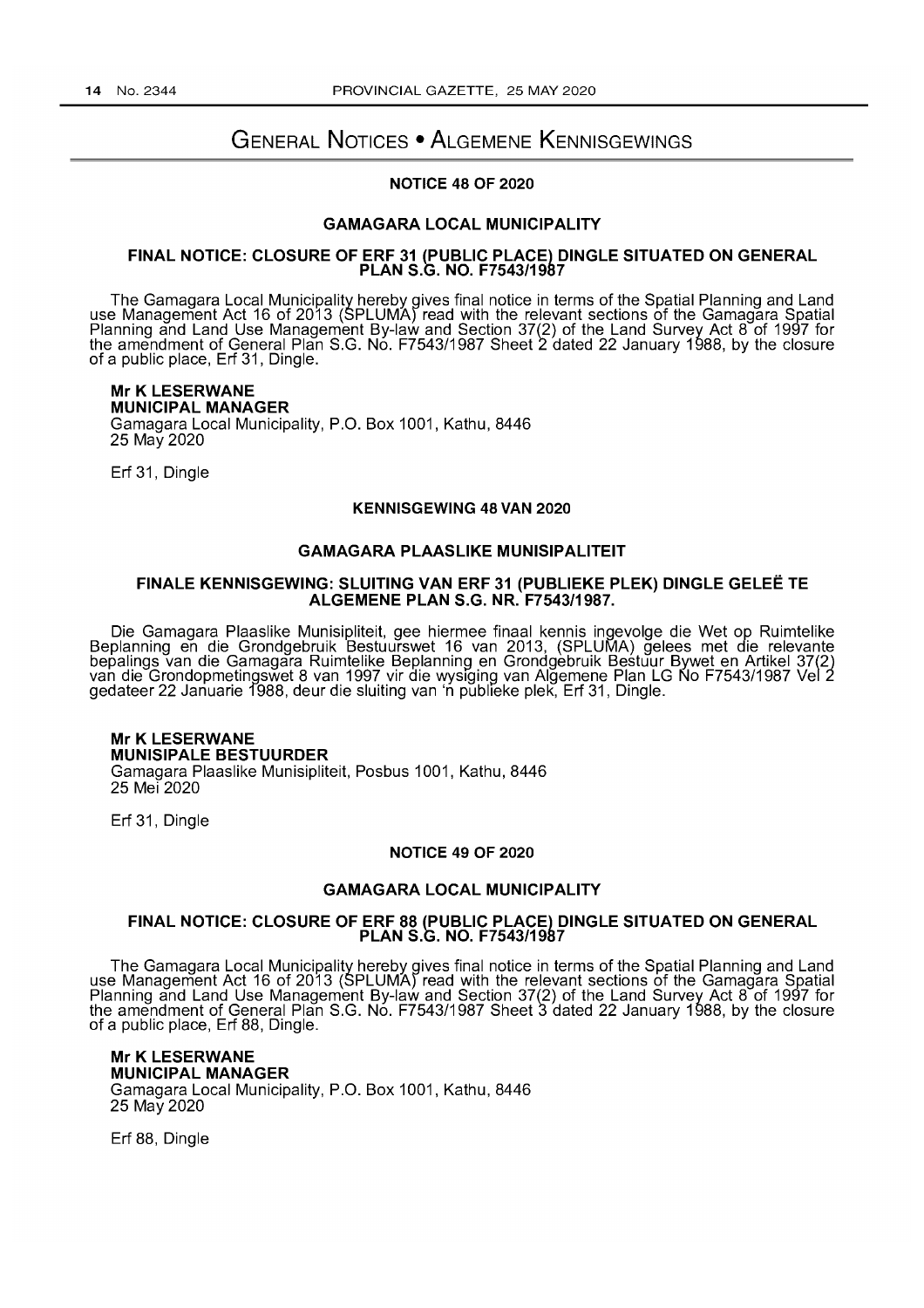# GENERAL NOTICES • ALGEMENE KENNISGEWINGS

# NOTICE 48 OF 2020

### GAMAGARA LOCAL MUNICIPALITY

### FINAL NOTICE: CLOSURE OF ERF 31 (PUBLIC PLACE) DINGLE SITUATED ON GENERAL PLAN S.G. NO. F7543/1987

The Gamagara Local Municipality hereby gives final notice in terms of the Spatial Planning and Land use Management Act 16 of 2013 (SPLUMA) read with the relevant sections of the Gamagara Spatial Planning and Land Use Management By-law and Section 37(2) of the Land Survey Act 8 of 1997 for the amendment of General Plan S.G. No. F7543/1987 Sheet 2 dated 22 January 1988, by the closure of a public place, Erf 31, Dingle.

Mr K LESERWANE MUNICIPAL MANAGER Gamagara Local Municipality, P.O. Box 1001, Kathu, 8446 25 May 2020

Erf 31, Dingle

### KENNISGEWING 48 VAN 2020

### GAMAGARA PLAASLIKE MUNISIPALITEIT

### FINALE KENNISGEWING: SLUITING VAN ERF 31 (PUBLIEKE PLEK) DINGLE GELEE TE ALGEMENE PLAN S.G. NR. F7543/1987.

Die Gamagara Plaaslike Munisipliteit, gee hiermee finaal kennis ingevolge die Wet op Ruimtelike Beplanning en die Grondgebruik Bestuurswet 16 van 2013, (SPLUMA) gelees met die relevante bepalings van die Gamagara Ruimtelike Beplanning en Grondgebruik Bestuur Bywet en Artikel 37(2) van die Grondopmetingswet 8 van 1997 vir die wysiging van Alğemene Plan LG Ño F7543/1987 Vel 2 gedateer 22 Januarie 1988, deur die sluiting van 'n publleke plek, Erf 31, Dingle.

## Mr K LESERWANE MUNISIPALE BESTUURDER Gamagara Plaaslike Munisipliteit, Posbus 1001, Kathu, 8446 25 Mei 2020

Erf 31, Dingle

### NOTICE 49 OF 2020

### GAMAGARA LOCAL MUNICIPALITY

#### FINAL NOTICE: CLOSURE OF ERF 88 (PUBLIC PLACE) DINGLE SITUATED ON GENERAL PLAN S.G. NO. F7543/1987

The Gamagara Local Municipality hereby gives final notice in terms of the Spatial Planning and Land use Management Act 16 of 2013 (SPLUMA) read with the relevant sections of the Gamagara Spatial Planning and Land Use Management By-law and Section 37(2) of the Land Survey Act 8 of 1997 for the amendment of General Plan S.G. No. F7543/1987 Sheet 3 dated 22 January 1988, by the closure of a public place, Erf 88, Dingle.

Mr K LESERWANE MUNICIPAL MANAGER Gamagara Local Municipality, P.O. Box 1001, Kathu, 8446 25 May 2020

Erf 88, Dingle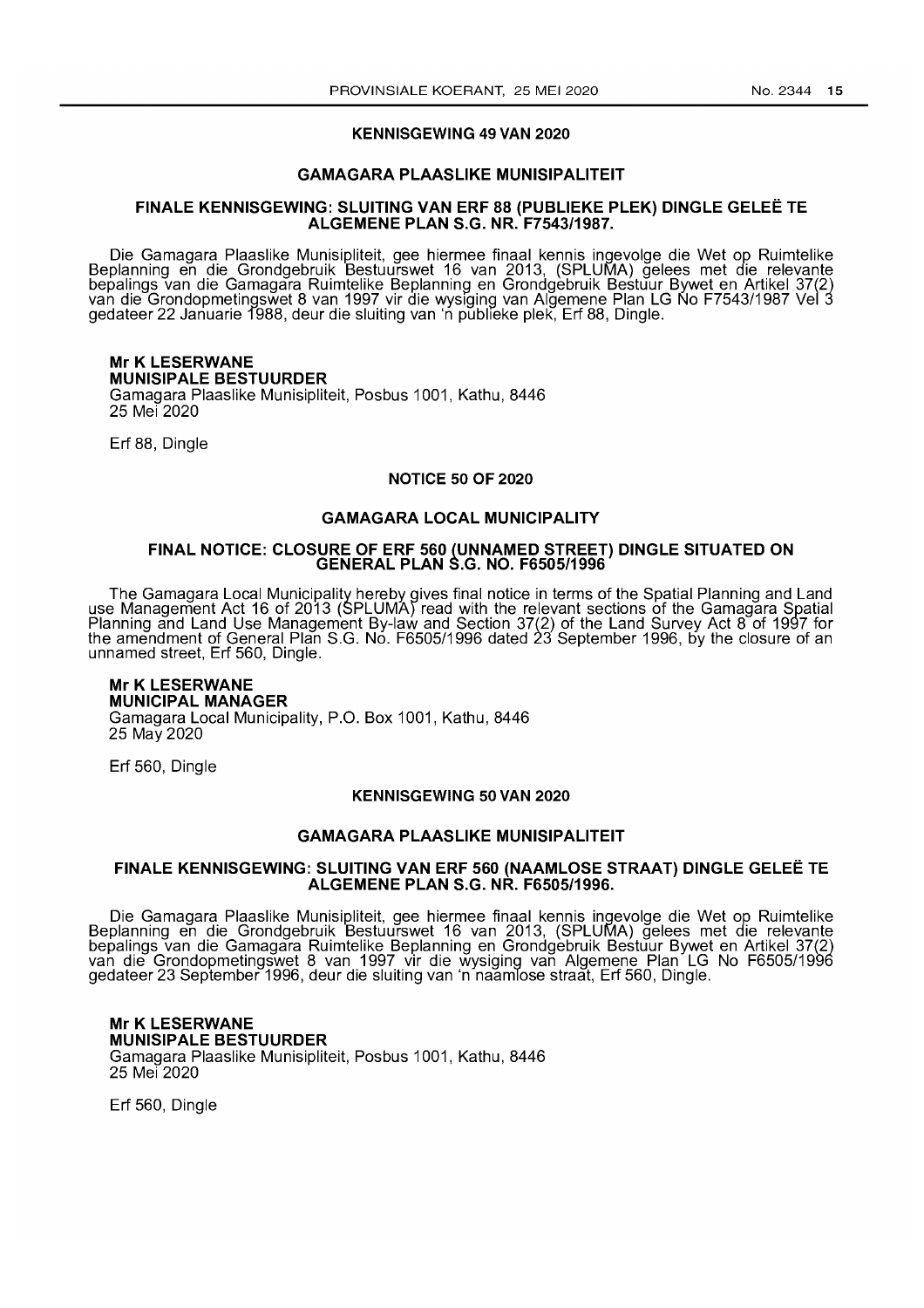### KENNISGEWING 49 VAN 2020

### GAMAGARA PLAASLIKE MUNISIPALITEIT

### FINALE KENNISGEWING: SLUITING VAN ERF 88 (PUBLIEKE PLEK) DINGLE GELEE TE ALGEMENE PLAN S.G. NR. F7543/1987.

Die Gamagara Plaaslike Munisipliteit, gee hiermee finaal kennis ingevolge die Wet op Ruimtelike Beplanning en die Grondgebruik Bestuurswet 16 van 2013, (SPLUMA) gelees met die relevante bepalings van die Gamagara Ruimtelike Beplanning en Grondgebruik Bestuur Bywet en Artikel 37(2) van die Grondopmetingswet 8 van 1997 vir die wysiging van Algemene Plan LG No F7543/1987 Vel 3 gedateer 22 Januarie f988, deur die sluiting van 'n publleke plek, Erf 88, Dingle.

### Mr K LESERWANE MUNISIPALE BESTUURDER Gamagara Plaaslike Munisipliteit, Posbus 1001, Kathu, 8446 25 Mei 2020

Erf 88, Dingle

### NOTICE 50 OF 2020

### GAMAGARA LOCAL MUNICIPALITY

### FINAL NOTICE: CLOSURE OF ERF 560 (UNNAMED STREET) DINGLE SITUATED ON GENERAL PLAN S.G. NO. F6505/1996

The Gamagara Local Municipality hereby gives final notice in terms of the Spatial Planning and Land use Management Act 16 of 2013 (SPLUMA) read with the relevant sections of the Gamagara Spatial Planning and Land Use Management By-law and Section 37(2) of the Land Survey Act 8 of 1997 for the amendment of General Plan S.G. No. F6505/1996 dated 23 September 1996, by the closure of an unnamed street, Erf 560, Dingle.

# Mr K LESERWANE

MUNICIPAL MANAGER Gamagara Local Municipality, P.O. Box 1001, Kathu, 8446 25 May 2020

Erf 560, Dingle

### KENNISGEWING 50 VAN 2020

### GAMAGARA PLAASLIKE MUNISIPALITEIT

### FINALE KENNISGEWING: SLUITING VAN ERF 560 (NAAMLOSE STRAAT) DINGLE GELEE TE ALGEMENE PLAN S.G. NR. F6505/1996.

Die Gamagara Plaaslike Munisipliteit, gee hiermee finaal kennis ingevolge die Wet op Ruimtelike Beplanning en die Grondgebruik Bestuurswet 16 van 2013, (SPLUMA) gelees met die relevante bepalings van die Gamagara Ruimtelike Beplanning en Grondgebruik Bestuur Bywet en Artikel 37(2) van die Grondopmetingswet 8 van 1997 vir die wysiging van Aigemene Plan LG No F6505/1996 gedateer 23 September 1996, deur die sluiting van 'n naamlose straat, Erf 560, Dingle.

Mr K LESERWANE MUNISIPALE BESTUURDER Gamagara Plaaslike Munisipliteit, Posbus 1001, Kathu, 8446 25 Mei 2020

Erf 560, Dingle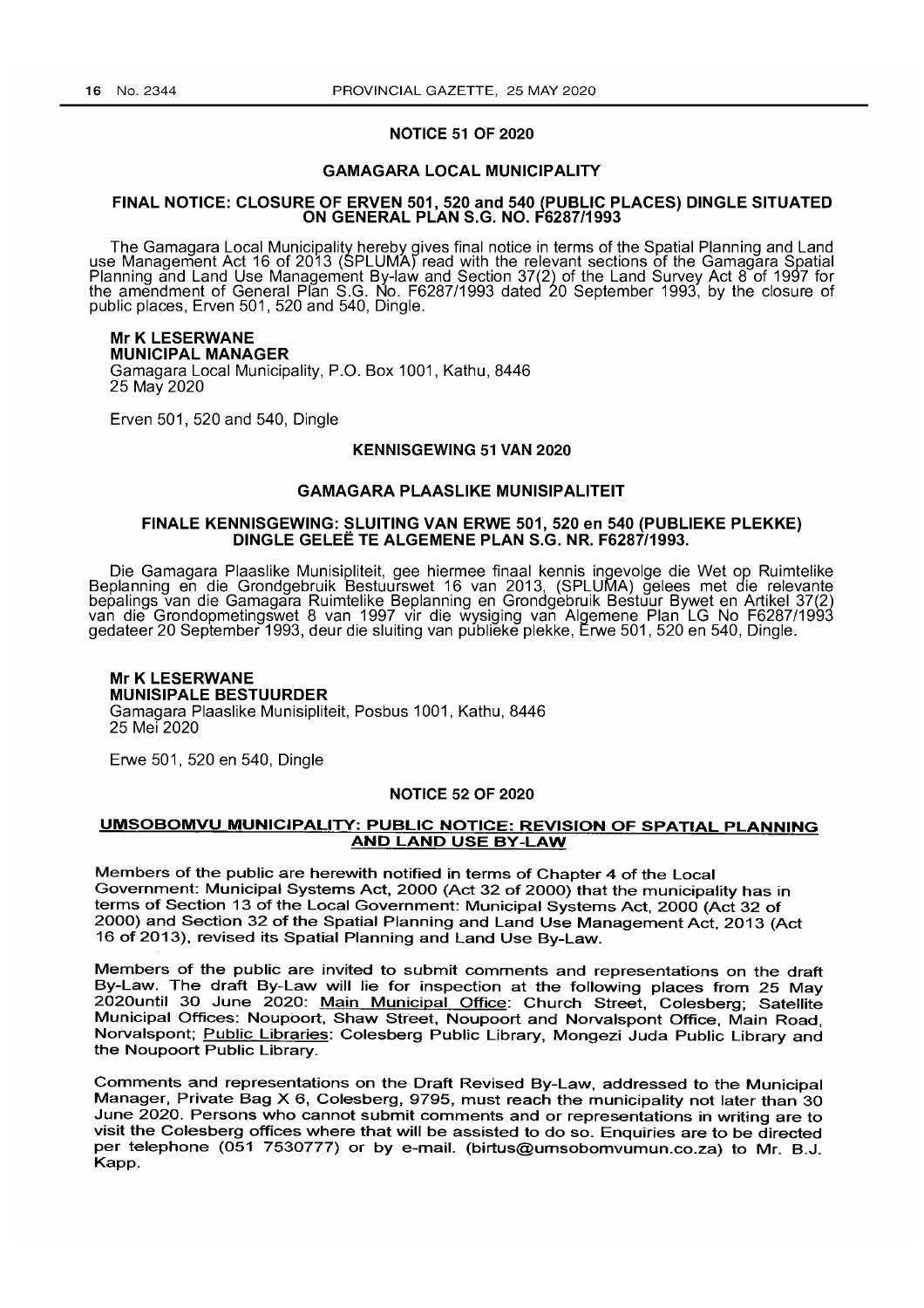### NOTICE 51 OF 2020

## GAMAGARA LOCAL MUNICIPALITY

### FINAL NOTICE: CLOSURE OF ERVEN 501,520 and 540 (PUBLIC PLACES) DINGLE SITUATED ON GENERAL PLAN S.G. NO. F6287/1993

The Gamagara Local Municipality hereby gives final notice in terms of the Spatial Planning and Land use Management Act 16 of 2013 (SPLUMA) read with the relevant sections of the Gamagara Spatial Planning and Land Use Management By-law and Section 37(2) of the Land Survey Act 8 of 1997 for the amendment of General Plan S.G. No. F6287/1993 dated 20 September 1993, by the closure of public places, Erven 501, 520 and 540, Dingle.

# Mr K LESERWANE

MUNICIPAL MANAGER

Gamagara Local Municipality, P.O. Box 1001, Kathu, 8446 25 May 2020

Erven 501, 520 and 540, Dingle

# KENNISGEWING 51 VAN 2020

# GAMAGARA PLAASLIKE MUNISIPALITEIT

# FINALE KENNISGEWING: SLUITING VAN ERWE 501, 520 en 540 (PUBLIEKE PLEKKE) DINGLE GELEE TE ALGEMENE PLAN S.G. NR. F6287/1993.

Die Gamagara Plaaslike Munisipliteit, gee hiermee finaal kennis ingevolge die Wet op Ruimtelike Beplanning en die Grondgebruik Bestuurswet 16 van 2013, (SPLUMA) gelees met die relevante bepalings van die Gamagara Ruimtelike Beplanning en Grondgebruik Bestuur Bywet en Artlkel 37(2) van die Grondopmetingswet 8 van 1997 vir die wysiging van Aigemene Plan LG No F6287/1993 gedateer 20 September 1993, deur die sluiting van publieke plekke, Erwe 501, 520 en 540, Dingle.

### Mr K LESERWANE MUNISIPALE BESTUURDER Gamagara Plaaslike Munisipliteit, Posbus 1001, Kathu, 8446 25 Mei 2020

Erwe 501,520 en 540, Dingle

### NOTICE 52 OF 2020

# UMSOBOMVU MUNICIPALITY: PUBLIC NOTICE: REVISION OF SPATIAL PLANNING AND LAND USE BY -LAW

Members of the public are herewith notified in terms of Chapter 4 of the Local Government: Municipal Systems Act, 2000 (Act 32 of 2000) that the municipality has in terms of Section 13 of the Local Government: Municipal Systems Act, 2000 (Act 32 of 2000) and Section 32 of the Spatial Planning and Land Use Management Act. 2013 (Act 16 of 2013), revised its Spatial Planning and Land Use By-Law.

Members of the public are invited to submit comments and representations on the draft By-Law. The draft By-Law will lie for inspection at the following places from 25 May 2020until 30 June 2020: Main Municipal Office: Church Street, Colesberg; Satellite Municipal Offices: Noupoort, Shaw Street, Noupoort and Norvalspont Office, Main Road, Norvalspont; Public Libraries: Colesberg Public Library, Mongezi Juda Public Library and the Noupoort Public Library.

Comments and representations on the Draft Revised By-Law, addressed to the Municipal Manager, Private Bag X 6, Colesberg, 9795, must reach the municipality not later than 30 June 2020. Persons who cannot submit comments and or representations in writing are to visit the Colesberg offices where that will be assisted to do so. Enquiries are to be directed per telephone (051 7530777) or by e-mail. (birtus@umsobomvumun.co.za) to Mr. B.J. Kapp.